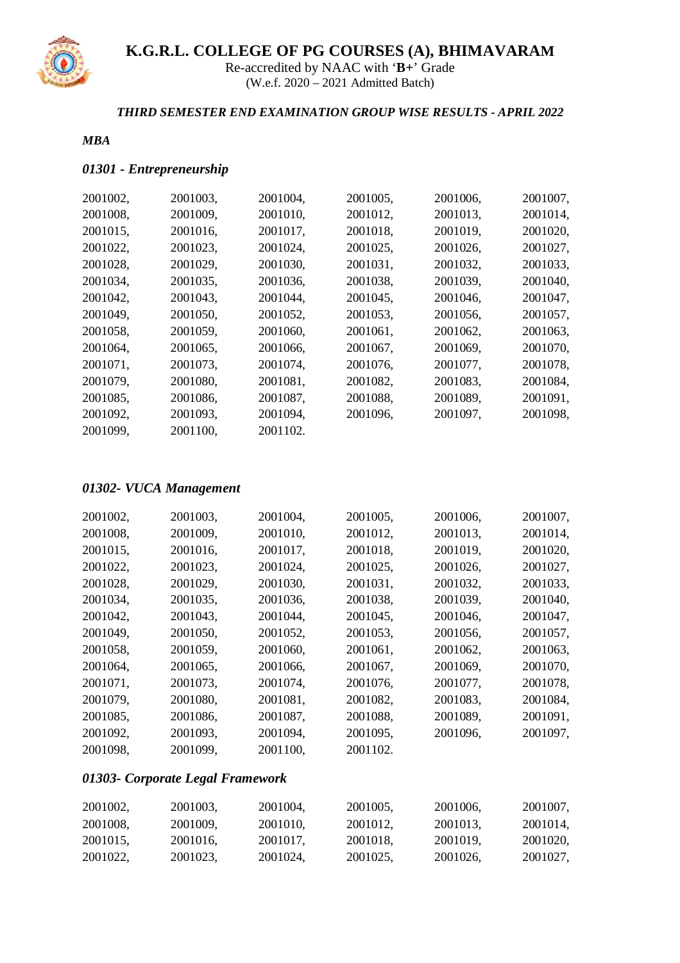

Re-accredited by NAAC with '**B+**' Grade (W.e.f. 2020 – 2021 Admitted Batch)

#### *THIRD SEMESTER END EXAMINATION GROUP WISE RESULTS - APRIL 2022*

#### *MBA*

#### *01301 - Entrepreneurship*

| 2001003, | 2001004, | 2001005, | 2001006, | 2001007, |
|----------|----------|----------|----------|----------|
| 2001009, | 2001010, | 2001012, | 2001013, | 2001014, |
| 2001016, | 2001017, | 2001018, | 2001019, | 2001020, |
| 2001023, | 2001024, | 2001025, | 2001026, | 2001027, |
| 2001029, | 2001030, | 2001031, | 2001032, | 2001033, |
| 2001035, | 2001036, | 2001038, | 2001039, | 2001040, |
| 2001043, | 2001044, | 2001045, | 2001046, | 2001047, |
| 2001050, | 2001052, | 2001053, | 2001056, | 2001057, |
| 2001059, | 2001060, | 2001061, | 2001062, | 2001063, |
| 2001065, | 2001066, | 2001067, | 2001069, | 2001070, |
| 2001073, | 2001074, | 2001076, | 2001077, | 2001078, |
| 2001080, | 2001081, | 2001082, | 2001083, | 2001084, |
| 2001086, | 2001087, | 2001088, | 2001089, | 2001091, |
| 2001093, | 2001094, | 2001096, | 2001097, | 2001098, |
| 2001100, | 2001102. |          |          |          |
|          |          |          |          |          |

### *01302- VUCA Management*

| 2001003, | 2001004, | 2001005, | 2001006, | 2001007, |
|----------|----------|----------|----------|----------|
| 2001009, | 2001010, | 2001012, | 2001013, | 2001014, |
| 2001016, | 2001017, | 2001018, | 2001019, | 2001020, |
| 2001023, | 2001024, | 2001025, | 2001026, | 2001027, |
| 2001029, | 2001030, | 2001031, | 2001032, | 2001033, |
| 2001035, | 2001036, | 2001038, | 2001039, | 2001040, |
| 2001043, | 2001044, | 2001045, | 2001046, | 2001047, |
| 2001050, | 2001052, | 2001053, | 2001056, | 2001057, |
| 2001059, | 2001060, | 2001061, | 2001062, | 2001063, |
| 2001065, | 2001066, | 2001067, | 2001069, | 2001070, |
| 2001073, | 2001074, | 2001076. | 2001077. | 2001078, |
| 2001080, | 2001081, | 2001082, | 2001083, | 2001084, |
| 2001086, | 2001087, | 2001088, | 2001089, | 2001091, |
| 2001093, | 2001094, | 2001095, | 2001096, | 2001097, |
| 2001099, | 2001100, | 2001102. |          |          |
|          |          |          |          |          |

### *01303- Corporate Legal Framework*

| 2001002. | 2001003. | 2001004. | 2001005. | 2001006. | 2001007, |
|----------|----------|----------|----------|----------|----------|
| 2001008, | 2001009. | 2001010. | 2001012. | 2001013. | 2001014, |
| 2001015. | 2001016. | 2001017. | 2001018. | 2001019. | 2001020, |
| 2001022, | 2001023. | 2001024. | 2001025. | 2001026. | 2001027, |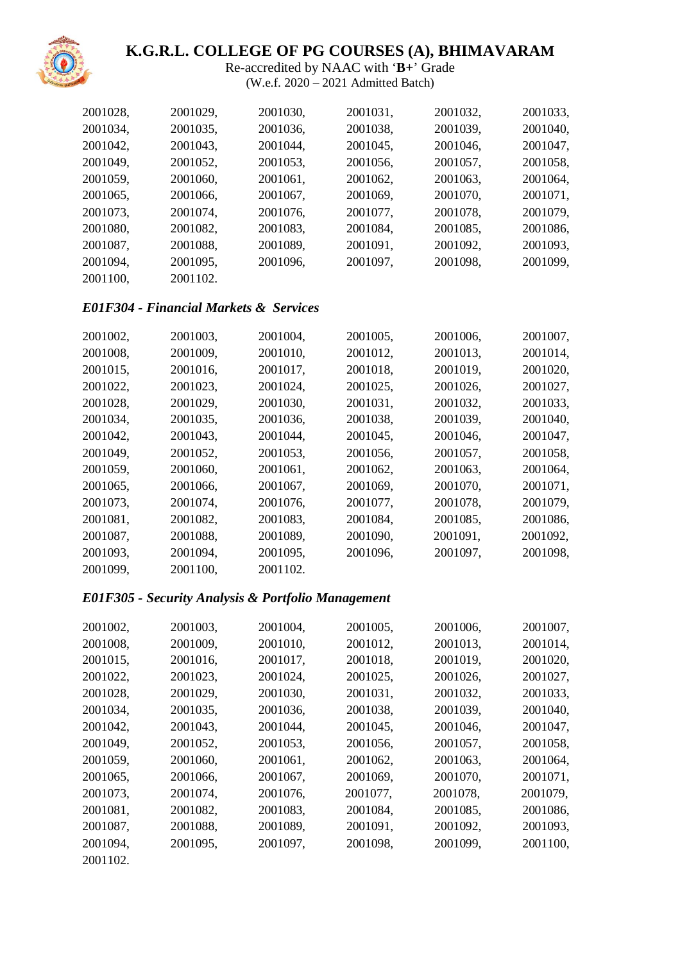

Re-accredited by NAAC with '**B+**' Grade (W.e.f. 2020 – 2021 Admitted Batch)

| 2001028, | 2001029, | 2001030, | 2001031, | 2001032, | 2001033, |
|----------|----------|----------|----------|----------|----------|
| 2001034, | 2001035, | 2001036, | 2001038, | 2001039, | 2001040, |
| 2001042, | 2001043, | 2001044, | 2001045, | 2001046, | 2001047, |
| 2001049, | 2001052, | 2001053, | 2001056, | 2001057, | 2001058, |
| 2001059, | 2001060, | 2001061, | 2001062, | 2001063, | 2001064, |
| 2001065, | 2001066, | 2001067, | 2001069, | 2001070, | 2001071, |
| 2001073, | 2001074, | 2001076, | 2001077, | 2001078, | 2001079, |
| 2001080, | 2001082, | 2001083, | 2001084, | 2001085, | 2001086, |
| 2001087, | 2001088, | 2001089, | 2001091, | 2001092, | 2001093, |
| 2001094, | 2001095, | 2001096, | 2001097, | 2001098, | 2001099, |
| 2001100, | 2001102. |          |          |          |          |

#### *E01F304 - Financial Markets & Services*

| 2001002, | 2001003, | 2001004, | 2001005, | 2001006, | 2001007, |
|----------|----------|----------|----------|----------|----------|
| 2001008, | 2001009, | 2001010, | 2001012, | 2001013, | 2001014, |
| 2001015, | 2001016, | 2001017, | 2001018, | 2001019, | 2001020, |
| 2001022, | 2001023, | 2001024, | 2001025, | 2001026, | 2001027, |
| 2001028, | 2001029, | 2001030, | 2001031, | 2001032, | 2001033, |
| 2001034, | 2001035, | 2001036, | 2001038, | 2001039, | 2001040, |
| 2001042, | 2001043, | 2001044, | 2001045, | 2001046, | 2001047, |
| 2001049, | 2001052, | 2001053, | 2001056, | 2001057, | 2001058, |
| 2001059, | 2001060, | 2001061, | 2001062, | 2001063, | 2001064, |
| 2001065, | 2001066, | 2001067, | 2001069, | 2001070, | 2001071, |
| 2001073, | 2001074, | 2001076, | 2001077, | 2001078, | 2001079, |
| 2001081, | 2001082, | 2001083, | 2001084, | 2001085, | 2001086, |
| 2001087, | 2001088, | 2001089, | 2001090, | 2001091, | 2001092, |
| 2001093, | 2001094, | 2001095, | 2001096, | 2001097, | 2001098, |
| 2001099, | 2001100, | 2001102. |          |          |          |

#### *E01F305 - Security Analysis & Portfolio Management*

| 2001003, | 2001004, | 2001005, | 2001006, | 2001007, |
|----------|----------|----------|----------|----------|
| 2001009, | 2001010, | 2001012, | 2001013, | 2001014, |
| 2001016, | 2001017, | 2001018, | 2001019, | 2001020, |
| 2001023, | 2001024, | 2001025, | 2001026, | 2001027, |
| 2001029, | 2001030, | 2001031, | 2001032, | 2001033, |
| 2001035, | 2001036, | 2001038, | 2001039, | 2001040, |
| 2001043, | 2001044, | 2001045, | 2001046, | 2001047, |
| 2001052, | 2001053, | 2001056, | 2001057, | 2001058, |
| 2001060, | 2001061, | 2001062, | 2001063, | 2001064, |
| 2001066, | 2001067, | 2001069, | 2001070, | 2001071, |
| 2001074, | 2001076, | 2001077, | 2001078, | 2001079, |
| 2001082, | 2001083, | 2001084, | 2001085, | 2001086, |
| 2001088, | 2001089, | 2001091, | 2001092, | 2001093, |
| 2001095, | 2001097, | 2001098, | 2001099, | 2001100, |
|          |          |          |          |          |
|          |          |          |          |          |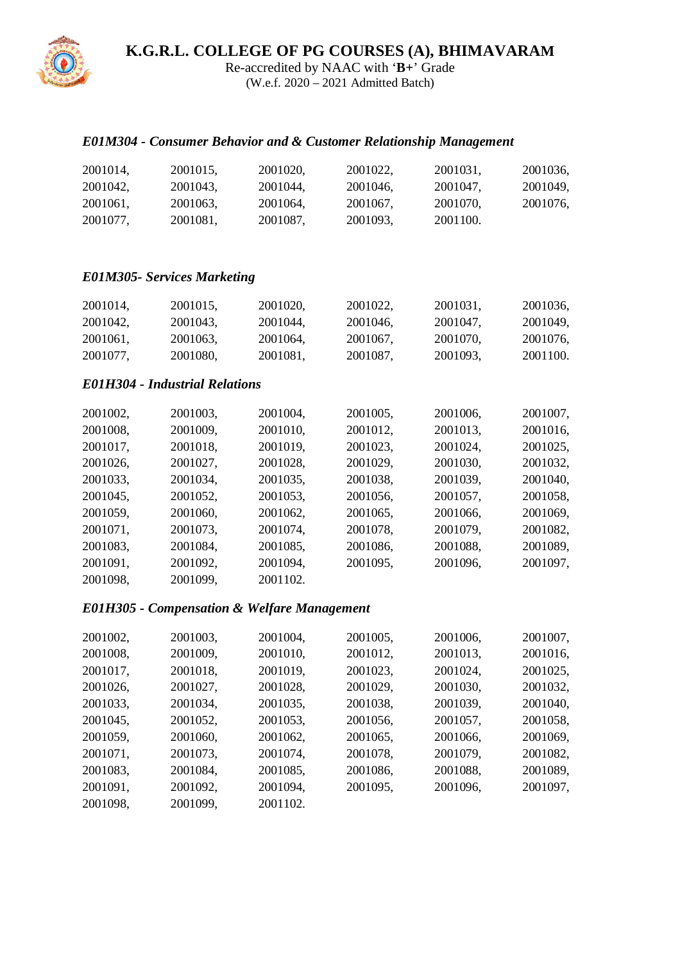Re-accredited by NAAC with '**B+**' Grade (W.e.f. 2020 – 2021 Admitted Batch)

### *E01M304 - Consumer Behavior and & Customer Relationship Management*

| 2001014, | 2001015. | 2001020. | 2001022, | 2001031. | 2001036, |
|----------|----------|----------|----------|----------|----------|
| 2001042. | 2001043. | 2001044. | 2001046. | 2001047. | 2001049, |
| 2001061, | 2001063. | 2001064, | 2001067, | 2001070. | 2001076, |
| 2001077, | 2001081, | 2001087. | 2001093. | 2001100. |          |

#### *E01M305- Services Marketing*

| 2001014, | 2001015. | 2001020. | 2001022. | 2001031. | 2001036, |
|----------|----------|----------|----------|----------|----------|
| 2001042. | 2001043. | 2001044, | 2001046. | 2001047. | 2001049, |
| 2001061, | 2001063. | 2001064, | 2001067, | 2001070. | 2001076, |
| 2001077. | 2001080, | 2001081. | 2001087, | 2001093. | 2001100. |

#### *E01H304 - Industrial Relations*

| 2001002, | 2001003, | 2001004, | 2001005, | 2001006, | 2001007, |
|----------|----------|----------|----------|----------|----------|
| 2001008, | 2001009, | 2001010, | 2001012, | 2001013, | 2001016, |
| 2001017, | 2001018, | 2001019, | 2001023, | 2001024, | 2001025, |
| 2001026, | 2001027, | 2001028, | 2001029, | 2001030, | 2001032, |
| 2001033, | 2001034, | 2001035, | 2001038, | 2001039, | 2001040, |
| 2001045, | 2001052, | 2001053, | 2001056, | 2001057, | 2001058, |
| 2001059, | 2001060, | 2001062, | 2001065, | 2001066, | 2001069, |
| 2001071, | 2001073, | 2001074, | 2001078, | 2001079, | 2001082, |
| 2001083, | 2001084, | 2001085, | 2001086, | 2001088, | 2001089, |
| 2001091, | 2001092, | 2001094, | 2001095, | 2001096, | 2001097, |
| 2001098, | 2001099, | 2001102. |          |          |          |

#### *E01H305 - Compensation & Welfare Management*

| 2001002, | 2001003, | 2001004, | 2001005, | 2001006, | 2001007, |
|----------|----------|----------|----------|----------|----------|
| 2001008, | 2001009, | 2001010, | 2001012, | 2001013, | 2001016, |
| 2001017, | 2001018, | 2001019, | 2001023, | 2001024, | 2001025, |
| 2001026, | 2001027, | 2001028, | 2001029, | 2001030, | 2001032, |
| 2001033, | 2001034, | 2001035, | 2001038, | 2001039, | 2001040, |
| 2001045, | 2001052, | 2001053, | 2001056, | 2001057, | 2001058, |
| 2001059, | 2001060, | 2001062, | 2001065, | 2001066, | 2001069, |
| 2001071, | 2001073, | 2001074, | 2001078, | 2001079, | 2001082, |
| 2001083, | 2001084, | 2001085, | 2001086, | 2001088, | 2001089, |
| 2001091, | 2001092, | 2001094, | 2001095, | 2001096, | 2001097, |
| 2001098, | 2001099, | 2001102. |          |          |          |

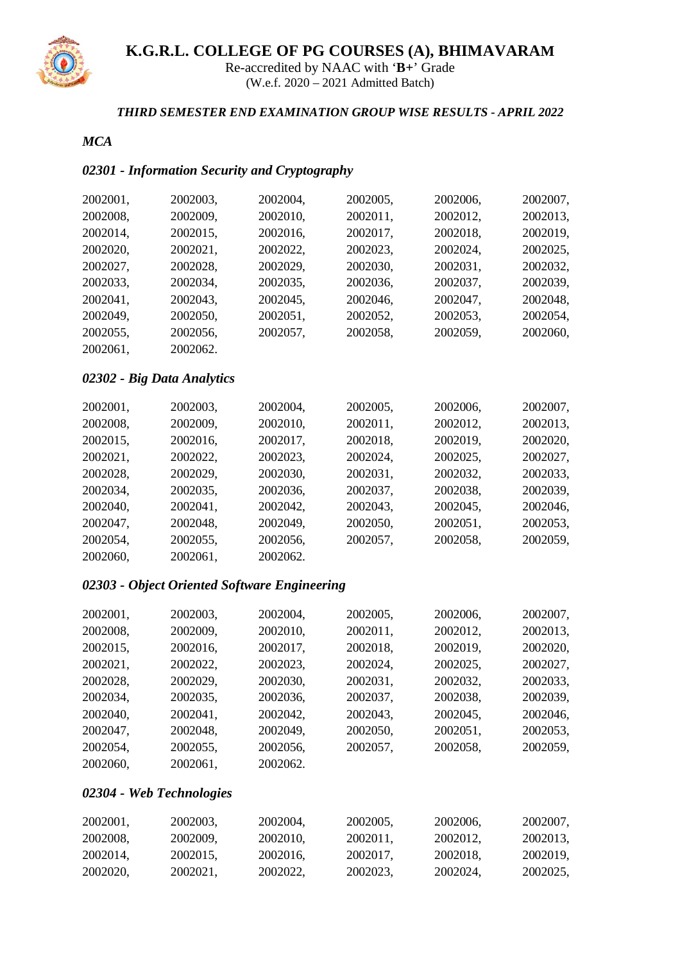

Re-accredited by NAAC with '**B+**' Grade (W.e.f. 2020 – 2021 Admitted Batch)

#### *THIRD SEMESTER END EXAMINATION GROUP WISE RESULTS - APRIL 2022*

#### *MCA*

# *02301 - Information Security and Cryptography*

| 2002001, | 2002003, | 2002004, | 2002005, | 2002006, | 2002007, |
|----------|----------|----------|----------|----------|----------|
| 2002008, | 2002009, | 2002010, | 2002011, | 2002012, | 2002013, |
| 2002014, | 2002015, | 2002016, | 2002017, | 2002018, | 2002019, |
| 2002020, | 2002021, | 2002022, | 2002023, | 2002024, | 2002025, |
| 2002027, | 2002028, | 2002029, | 2002030, | 2002031, | 2002032, |
| 2002033, | 2002034, | 2002035, | 2002036, | 2002037, | 2002039, |
| 2002041, | 2002043, | 2002045, | 2002046, | 2002047, | 2002048, |
| 2002049, | 2002050, | 2002051, | 2002052, | 2002053, | 2002054, |
| 2002055, | 2002056, | 2002057, | 2002058, | 2002059, | 2002060, |
| 2002061, | 2002062. |          |          |          |          |
|          |          |          |          |          |          |

#### *02302 - Big Data Analytics*

| 2002001, | 2002003, | 2002004, | 2002005, | 2002006, | 2002007, |
|----------|----------|----------|----------|----------|----------|
| 2002008, | 2002009, | 2002010, | 2002011, | 2002012, | 2002013, |
| 2002015, | 2002016, | 2002017, | 2002018, | 2002019, | 2002020, |
| 2002021, | 2002022, | 2002023, | 2002024, | 2002025, | 2002027, |
| 2002028, | 2002029, | 2002030, | 2002031, | 2002032, | 2002033, |
| 2002034, | 2002035, | 2002036, | 2002037, | 2002038, | 2002039, |
| 2002040, | 2002041, | 2002042, | 2002043, | 2002045, | 2002046, |
| 2002047, | 2002048, | 2002049, | 2002050, | 2002051, | 2002053, |
| 2002054, | 2002055, | 2002056, | 2002057, | 2002058, | 2002059, |
| 2002060, | 2002061, | 2002062. |          |          |          |

# *02303 - Object Oriented Software Engineering*

| 2002001, | 2002003, | 2002004, | 2002005, | 2002006, | 2002007, |
|----------|----------|----------|----------|----------|----------|
| 2002008, | 2002009, | 2002010, | 2002011, | 2002012, | 2002013, |
| 2002015, | 2002016, | 2002017, | 2002018, | 2002019, | 2002020, |
| 2002021, | 2002022, | 2002023, | 2002024, | 2002025, | 2002027, |
| 2002028, | 2002029, | 2002030, | 2002031, | 2002032, | 2002033, |
| 2002034, | 2002035, | 2002036, | 2002037, | 2002038, | 2002039, |
| 2002040, | 2002041, | 2002042, | 2002043, | 2002045, | 2002046, |
| 2002047, | 2002048, | 2002049, | 2002050, | 2002051, | 2002053, |
| 2002054, | 2002055, | 2002056, | 2002057, | 2002058, | 2002059, |
| 2002060, | 2002061, | 2002062. |          |          |          |

#### *02304 - Web Technologies*

| 2002001, | 2002003, | 2002004, | 2002005, | 2002006. | 2002007, |
|----------|----------|----------|----------|----------|----------|
| 2002008, | 2002009, | 2002010. | 2002011, | 2002012. | 2002013. |
| 2002014. | 2002015. | 2002016. | 2002017, | 2002018. | 2002019. |
| 2002020. | 2002021. | 2002022. | 2002023, | 2002024. | 2002025, |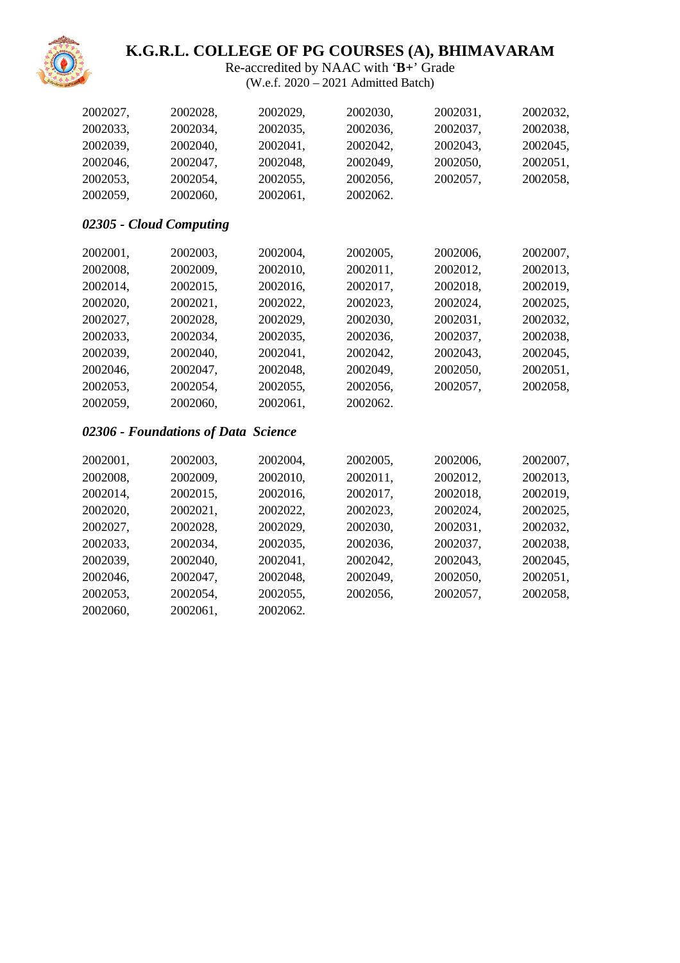

Re-accredited by NAAC with '**B+**' Grade (W.e.f. 2020 – 2021 Admitted Batch)

| 2002027, | 2002028,                            | 2002029, | 2002030, | 2002031, | 2002032, |
|----------|-------------------------------------|----------|----------|----------|----------|
| 2002033, | 2002034,                            | 2002035, | 2002036, | 2002037, | 2002038, |
| 2002039, | 2002040,                            | 2002041, | 2002042, | 2002043, | 2002045, |
| 2002046, | 2002047,                            | 2002048, | 2002049, | 2002050, | 2002051, |
| 2002053, | 2002054,                            | 2002055, | 2002056, | 2002057, | 2002058, |
| 2002059, | 2002060,                            | 2002061, | 2002062. |          |          |
|          | 02305 - Cloud Computing             |          |          |          |          |
| 2002001, | 2002003,                            | 2002004, | 2002005, | 2002006, | 2002007, |
| 2002008, | 2002009,                            | 2002010, | 2002011, | 2002012, | 2002013, |
| 2002014, | 2002015,                            | 2002016, | 2002017, | 2002018, | 2002019, |
| 2002020, | 2002021,                            | 2002022, | 2002023, | 2002024, | 2002025, |
| 2002027, | 2002028,                            | 2002029, | 2002030, | 2002031, | 2002032, |
| 2002033, | 2002034,                            | 2002035, | 2002036, | 2002037, | 2002038, |
| 2002039, | 2002040,                            | 2002041, | 2002042, | 2002043, | 2002045, |
| 2002046, | 2002047,                            | 2002048, | 2002049, | 2002050, | 2002051, |
| 2002053, | 2002054,                            | 2002055, | 2002056, | 2002057, | 2002058, |
| 2002059, | 2002060,                            | 2002061, | 2002062. |          |          |
|          | 02306 - Foundations of Data Science |          |          |          |          |
| 2002001, | 2002003,                            | 2002004, | 2002005, | 2002006, | 2002007, |
| 2002008, | 2002009,                            | 2002010, | 2002011, | 2002012, | 2002013, |
| 2002014, | 2002015,                            | 2002016, | 2002017, | 2002018, | 2002019, |
| 2002020, | 2002021,                            | 2002022, | 2002023, | 2002024, | 2002025, |
| 2002027, | 2002028,                            | 2002029, | 2002030, | 2002031, | 2002032, |
| 2002033, | 2002034,                            | 2002035, | 2002036, | 2002037, | 2002038, |
| 2002039, | 2002040,                            | 2002041, | 2002042, | 2002043, | 2002045, |
| 2002046, | 2002047,                            | 2002048, | 2002049, | 2002050, | 2002051, |
| 2002053, | 2002054,                            | 2002055, | 2002056, | 2002057, | 2002058, |
| 2002060, | 2002061,                            | 2002062. |          |          |          |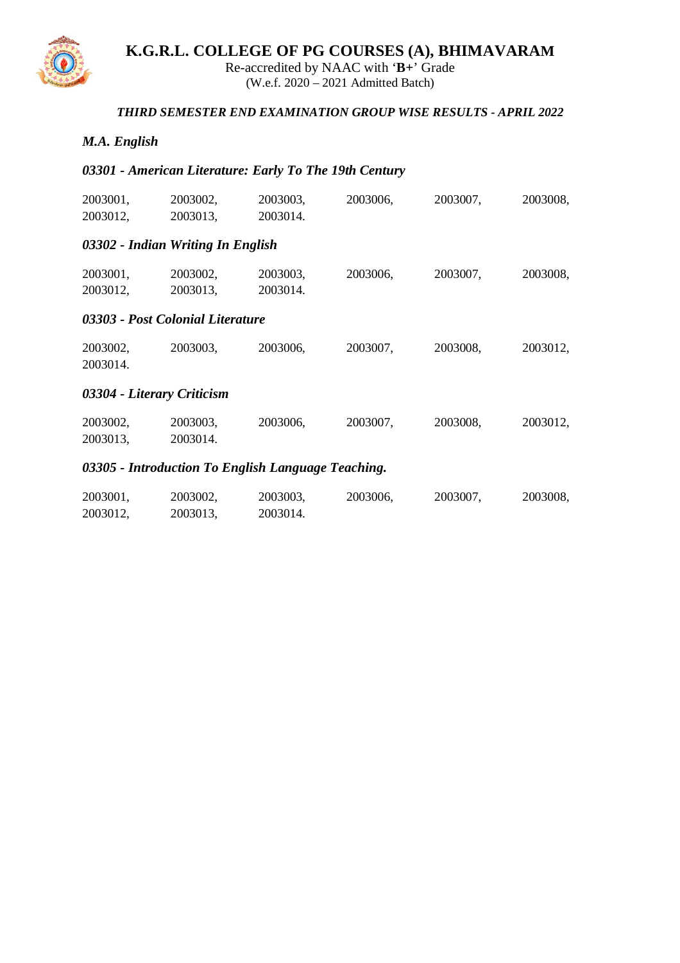

Re-accredited by NAAC with '**B+**' Grade (W.e.f. 2020 – 2021 Admitted Batch)

#### *THIRD SEMESTER END EXAMINATION GROUP WISE RESULTS - APRIL 2022*

#### *M.A. English*

### *03301 - American Literature: Early To The 19th Century*

2003012, 2003013, 2003014.

| 2003001,<br>2003012, | 2003002,<br>2003013,                               | 2003003,<br>2003014. | 2003006, | 2003007, | 2003008, |
|----------------------|----------------------------------------------------|----------------------|----------|----------|----------|
|                      | 03302 - Indian Writing In English                  |                      |          |          |          |
| 2003001,<br>2003012, | 2003002,<br>2003013,                               | 2003003,<br>2003014. | 2003006, | 2003007, | 2003008, |
|                      | 03303 - Post Colonial Literature                   |                      |          |          |          |
| 2003002,<br>2003014. | 2003003,                                           | 2003006,             | 2003007, | 2003008, | 2003012, |
|                      | 03304 - Literary Criticism                         |                      |          |          |          |
| 2003002,<br>2003013, | 2003003,<br>2003014.                               | 2003006,             | 2003007, | 2003008, | 2003012, |
|                      | 03305 - Introduction To English Language Teaching. |                      |          |          |          |
| 2003001,             | 2003002,                                           | 2003003,             | 2003006, | 2003007, | 2003008, |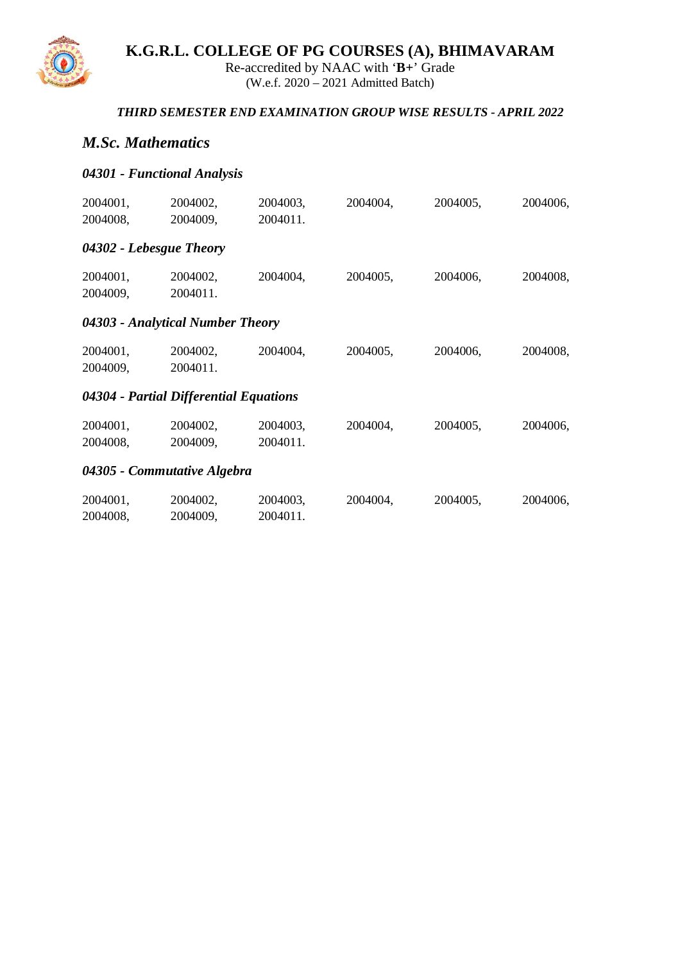

Re-accredited by NAAC with '**B+**' Grade (W.e.f. 2020 – 2021 Admitted Batch)

### *THIRD SEMESTER END EXAMINATION GROUP WISE RESULTS - APRIL 2022*

## *M.Sc. Mathematics*

## *04301 - Functional Analysis*

| 2004001,                | 2004002,                               | 2004003,             | 2004004, | 2004005, | 2004006, |
|-------------------------|----------------------------------------|----------------------|----------|----------|----------|
| 2004008,                | 2004009,                               | 2004011.             |          |          |          |
| 04302 - Lebesgue Theory |                                        |                      |          |          |          |
| 2004001,<br>2004009,    | 2004002,<br>2004011.                   | 2004004,             | 2004005, | 2004006, | 2004008, |
|                         | 04303 - Analytical Number Theory       |                      |          |          |          |
| 2004001,<br>2004009,    | 2004002,<br>2004011.                   | 2004004,             | 2004005, | 2004006, | 2004008, |
|                         | 04304 - Partial Differential Equations |                      |          |          |          |
| 2004001,<br>2004008,    | 2004002,<br>2004009,                   | 2004003,<br>2004011. | 2004004, | 2004005, | 2004006, |
|                         | 04305 - Commutative Algebra            |                      |          |          |          |
| 2004001,<br>2004008,    | 2004002,<br>2004009,                   | 2004003,<br>2004011. | 2004004, | 2004005, | 2004006, |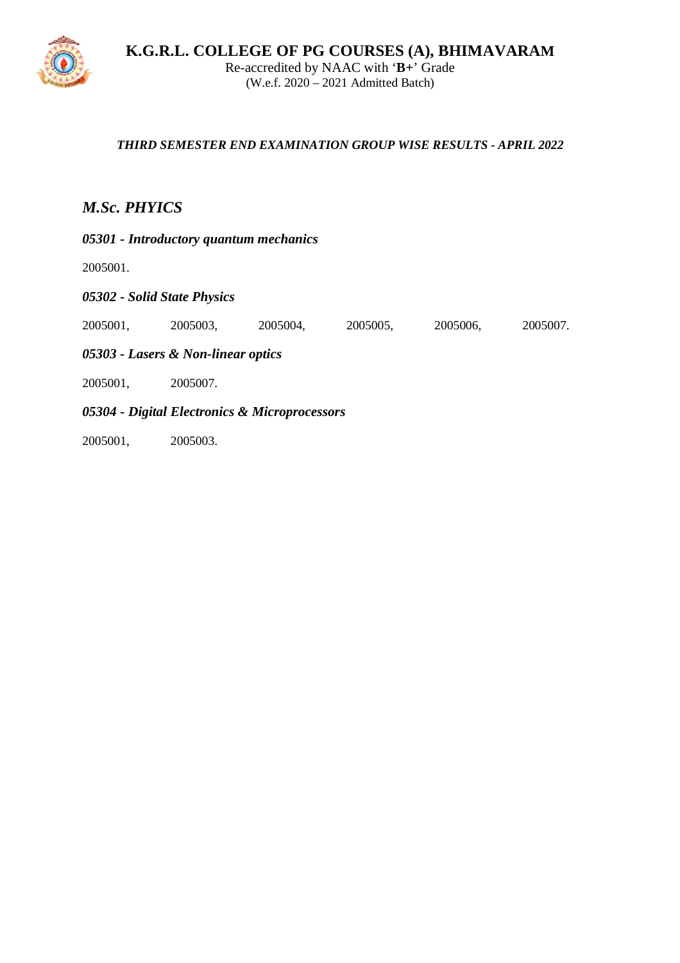

**K.G.R.L. COLLEGE OF PG COURSES (A), BHIMAVARAM** Re-accredited by NAAC with '**B+**' Grade (W.e.f. 2020 – 2021 Admitted Batch)

#### *THIRD SEMESTER END EXAMINATION GROUP WISE RESULTS - APRIL 2022*

# *M.Sc. PHYICS*

*05301 - Introductory quantum mechanics*

2005001.

*05302 - Solid State Physics*

2005001, 2005003, 2005004, 2005005, 2005006, 2005007.

*05303 - Lasers & Non-linear optics*

2005001, 2005007.

*05304 - Digital Electronics & Microprocessors*

2005001, 2005003.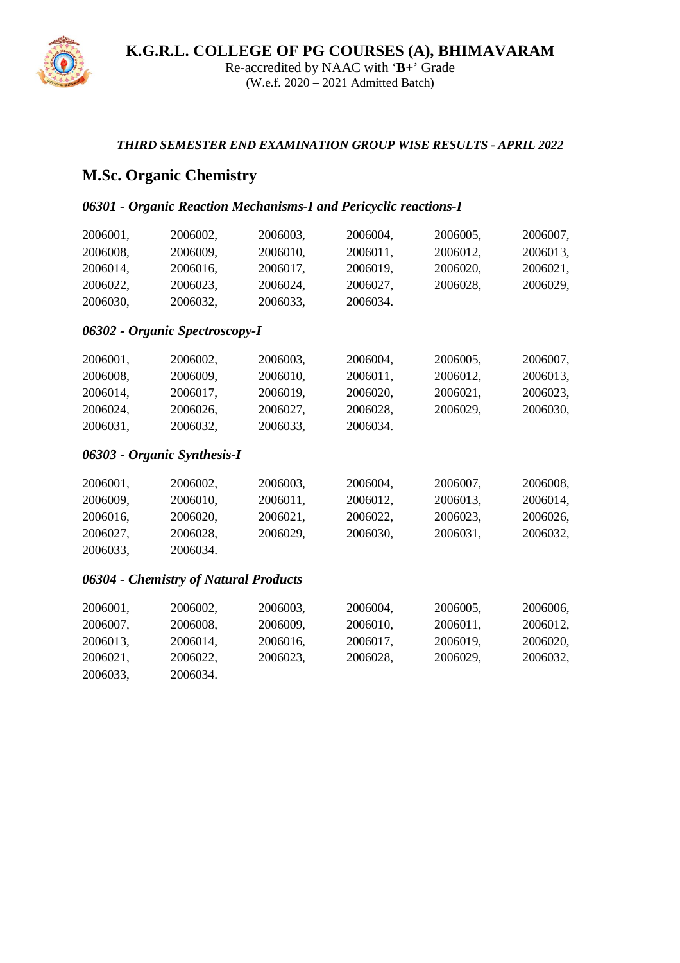

Re-accredited by NAAC with '**B+**' Grade (W.e.f. 2020 – 2021 Admitted Batch)

#### *THIRD SEMESTER END EXAMINATION GROUP WISE RESULTS - APRIL 2022*

# **M.Sc. Organic Chemistry**

2006033, 2006034.

### *06301 - Organic Reaction Mechanisms-I and Pericyclic reactions-I*

| 2006001, | 2006002,                              | 2006003, | 2006004, | 2006005, | 2006007, |
|----------|---------------------------------------|----------|----------|----------|----------|
| 2006008, | 2006009.                              | 2006010, | 2006011, | 2006012, | 2006013, |
| 2006014, | 2006016,                              | 2006017, | 2006019, | 2006020, | 2006021, |
| 2006022, | 2006023,                              | 2006024, | 2006027, | 2006028, | 2006029, |
| 2006030, | 2006032,                              | 2006033, | 2006034. |          |          |
|          | 06302 - Organic Spectroscopy-I        |          |          |          |          |
| 2006001, | 2006002,                              | 2006003, | 2006004, | 2006005, | 2006007, |
| 2006008, | 2006009,                              | 2006010, | 2006011, | 2006012, | 2006013, |
| 2006014, | 2006017,                              | 2006019, | 2006020, | 2006021, | 2006023, |
| 2006024, | 2006026,                              | 2006027, | 2006028, | 2006029, | 2006030, |
| 2006031, | 2006032,                              | 2006033, | 2006034. |          |          |
|          | 06303 - Organic Synthesis-I           |          |          |          |          |
| 2006001, | 2006002,                              | 2006003, | 2006004, | 2006007, | 2006008, |
| 2006009, | 2006010,                              | 2006011, | 2006012, | 2006013, | 2006014, |
| 2006016, | 2006020,                              | 2006021, | 2006022, | 2006023, | 2006026, |
| 2006027, | 2006028,                              | 2006029, | 2006030, | 2006031, | 2006032, |
| 2006033, | 2006034.                              |          |          |          |          |
|          | 06304 - Chemistry of Natural Products |          |          |          |          |
| 2006001, | 2006002,                              | 2006003, | 2006004, | 2006005, | 2006006, |
| 2006007, | 2006008,                              | 2006009, | 2006010, | 2006011, | 2006012, |
| 2006013, | 2006014,                              | 2006016, | 2006017, | 2006019, | 2006020, |
| 2006021, | 2006022.                              | 2006023. | 2006028. | 2006029, | 2006032, |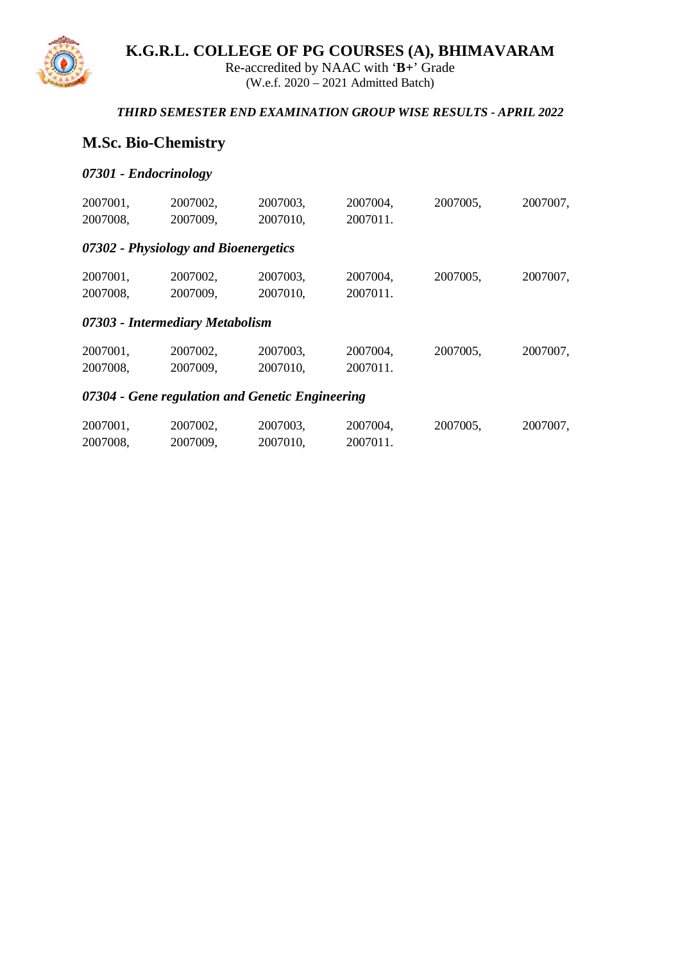

Re-accredited by NAAC with '**B+**' Grade (W.e.f. 2020 – 2021 Admitted Batch)

### *THIRD SEMESTER END EXAMINATION GROUP WISE RESULTS - APRIL 2022*

# **M.Sc. Bio-Chemistry**

#### *07301 - Endocrinology*

|          |                                      | 07304 - Gene regulation and Genetic Engineering |          |          |          |
|----------|--------------------------------------|-------------------------------------------------|----------|----------|----------|
| 2007008, | 2007009,                             | 2007010,                                        | 2007011. |          |          |
| 2007001, | 2007002,                             | 2007003,                                        | 2007004, | 2007005, | 2007007, |
|          | 07303 - Intermediary Metabolism      |                                                 |          |          |          |
| 2007008, | 2007009,                             | 2007010,                                        | 2007011. |          |          |
| 2007001, | 2007002,                             | 2007003,                                        | 2007004, | 2007005, | 2007007, |
|          | 07302 - Physiology and Bioenergetics |                                                 |          |          |          |
| 2007008, | 2007009,                             | 2007010,                                        | 2007011. |          |          |
| 2007001, | 2007002,                             | 2007003,                                        | 2007004, | 2007005, | 2007007, |

| 2007001, | 2007002, | 2007003. | 2007004. | 2007005, | 2007007, |
|----------|----------|----------|----------|----------|----------|
| 2007008, | 2007009. | 2007010, | 2007011. |          |          |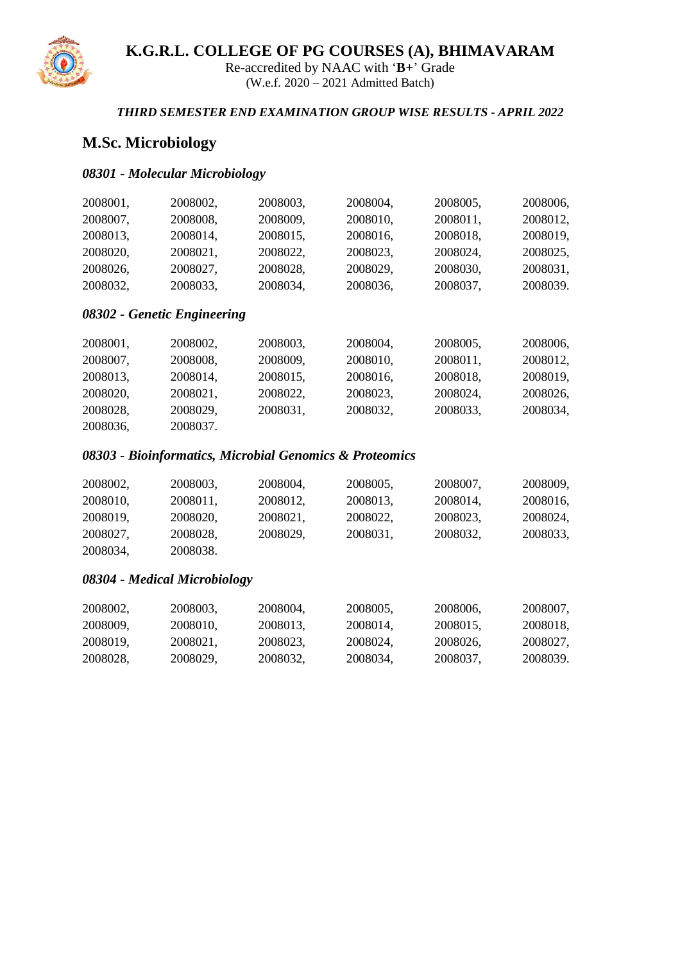

Re-accredited by NAAC with '**B+**' Grade (W.e.f. 2020 – 2021 Admitted Batch)

#### *THIRD SEMESTER END EXAMINATION GROUP WISE RESULTS - APRIL 2022*

# **M.Sc. Microbiology**

#### *08301 - Molecular Microbiology*

| 2008001, | 2008002, | 2008003, | 2008004, | 2008005, | 2008006. |
|----------|----------|----------|----------|----------|----------|
| 2008007. | 2008008. | 2008009, | 2008010, | 2008011. | 2008012, |
| 2008013, | 2008014. | 2008015, | 2008016, | 2008018. | 2008019, |
| 2008020. | 2008021. | 2008022. | 2008023. | 2008024. | 2008025, |
| 2008026, | 2008027, | 2008028, | 2008029, | 2008030. | 2008031, |
| 2008032. | 2008033, | 2008034. | 2008036, | 2008037. | 2008039. |

#### *08302 - Genetic Engineering*

| 2008001, | 2008002, | 2008003, | 2008004, | 2008005, | 2008006, |
|----------|----------|----------|----------|----------|----------|
| 2008007, | 2008008, | 2008009, | 2008010, | 2008011, | 2008012, |
| 2008013, | 2008014, | 2008015, | 2008016, | 2008018, | 2008019, |
| 2008020, | 2008021, | 2008022, | 2008023, | 2008024, | 2008026, |
| 2008028, | 2008029, | 2008031, | 2008032, | 2008033, | 2008034, |
| 2008036, | 2008037. |          |          |          |          |

#### *08303 - Bioinformatics, Microbial Genomics & Proteomics*

| 2008002, | 2008003. | 2008004, | 2008005, | 2008007. | 2008009, |
|----------|----------|----------|----------|----------|----------|
| 2008010, | 2008011. | 2008012, | 2008013, | 2008014. | 2008016, |
| 2008019, | 2008020. | 2008021, | 2008022. | 2008023. | 2008024, |
| 2008027, | 2008028, | 2008029, | 2008031, | 2008032, | 2008033, |
| 2008034, | 2008038. |          |          |          |          |

#### *08304 - Medical Microbiology*

| 2008002, | 2008003. | 2008004, | 2008005, | 2008006. | 2008007, |
|----------|----------|----------|----------|----------|----------|
| 2008009, | 2008010. | 2008013. | 2008014, | 2008015. | 2008018, |
| 2008019, | 2008021, | 2008023. | 2008024, | 2008026. | 2008027, |
| 2008028, | 2008029, | 2008032, | 2008034, | 2008037, | 2008039. |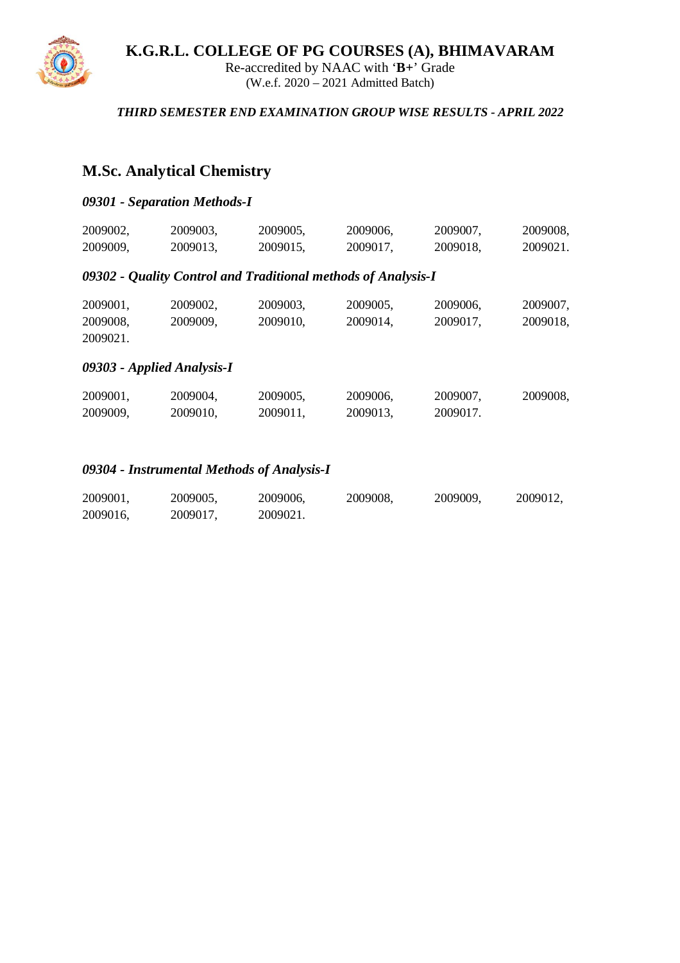

Re-accredited by NAAC with '**B+**' Grade (W.e.f. 2020 – 2021 Admitted Batch)

#### *THIRD SEMESTER END EXAMINATION GROUP WISE RESULTS - APRIL 2022*

# **M.Sc. Analytical Chemistry**

### *09301 - Separation Methods-I*

| 2009002, | 2009003, | 2009005, | 2009006, | 2009007, | 2009008, |
|----------|----------|----------|----------|----------|----------|
| 2009009, | 2009013, | 2009015, | 2009017, | 2009018, | 2009021. |

#### *09302 - Quality Control and Traditional methods of Analysis-I*

| 2009001, | 2009002. | 2009003. | 2009005. | 2009006. | 2009007, |
|----------|----------|----------|----------|----------|----------|
| 2009008, | 2009009. | 2009010. | 2009014. | 2009017. | 2009018, |
| 2009021. |          |          |          |          |          |

### *09303 - Applied Analysis-I*

| 2009001, | 2009004, | 2009005, | 2009006, | 2009007, | 2009008, |
|----------|----------|----------|----------|----------|----------|
| 2009009, | 2009010. | 2009011. | 2009013. | 2009017. |          |

#### *09304 - Instrumental Methods of Analysis-I*

| 2009001, | 2009005, | 2009006, | 2009008, | 2009009, | 2009012, |
|----------|----------|----------|----------|----------|----------|
| 2009016, | 2009017, | 2009021. |          |          |          |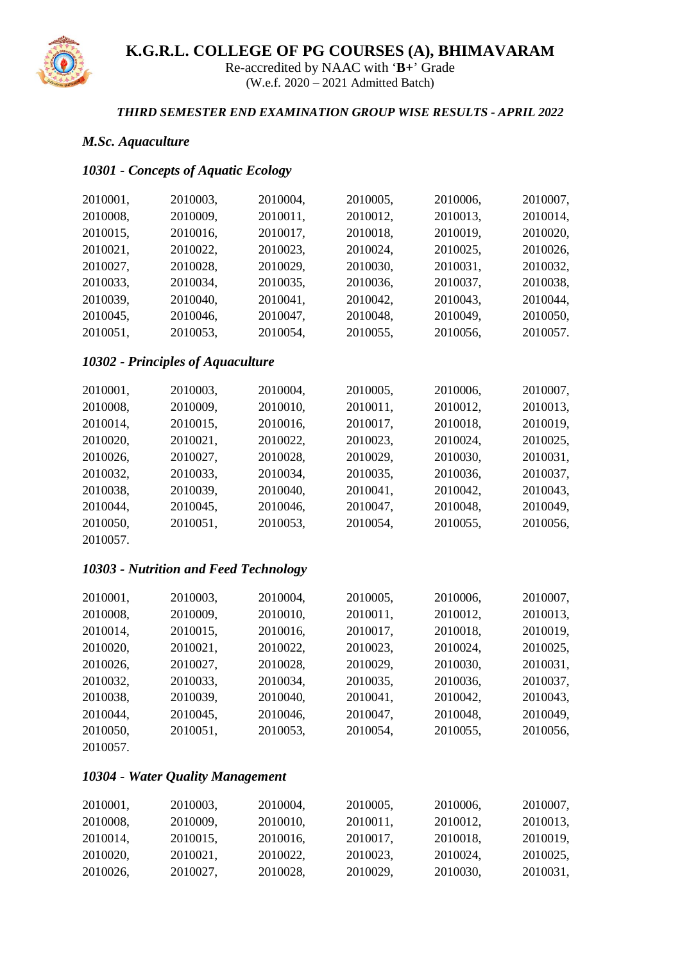

Re-accredited by NAAC with '**B+**' Grade (W.e.f. 2020 – 2021 Admitted Batch)

#### *THIRD SEMESTER END EXAMINATION GROUP WISE RESULTS - APRIL 2022*

# *M.Sc. Aquaculture*

# *10301 - Concepts of Aquatic Ecology*

| 2010001, | 2010003,                                 | 2010004, | 2010005, | 2010006, | 2010007, |
|----------|------------------------------------------|----------|----------|----------|----------|
| 2010008, | 2010009,                                 | 2010011, | 2010012, | 2010013, | 2010014, |
| 2010015, | 2010016,                                 | 2010017, | 2010018, | 2010019, | 2010020, |
| 2010021, | 2010022,                                 | 2010023, | 2010024, | 2010025, | 2010026, |
| 2010027, | 2010028,                                 | 2010029, | 2010030, | 2010031, | 2010032, |
| 2010033, | 2010034,                                 | 2010035, | 2010036, | 2010037, | 2010038, |
| 2010039, | 2010040,                                 | 2010041, | 2010042, | 2010043, | 2010044, |
| 2010045, | 2010046,                                 | 2010047, | 2010048, | 2010049, | 2010050, |
| 2010051, | 2010053,                                 | 2010054, | 2010055, | 2010056, | 2010057. |
|          | <b>10302 - Principles of Aquaculture</b> |          |          |          |          |
| 2010001, | 2010003,                                 | 2010004, | 2010005, | 2010006, | 2010007, |
| 2010008, | 2010009,                                 | 2010010, | 2010011, | 2010012, | 2010013, |
| 2010014, | 2010015,                                 | 2010016, | 2010017, | 2010018, | 2010019, |
| 2010020, | 2010021,                                 | 2010022, | 2010023, | 2010024, | 2010025, |
| 2010026, | 2010027,                                 | 2010028, | 2010029, | 2010030, | 2010031, |
| 2010032, | 2010033,                                 | 2010034, | 2010035, | 2010036, | 2010037, |
| 2010038, | 2010039,                                 | 2010040, | 2010041, | 2010042, | 2010043, |
| 2010044, | 2010045,                                 | 2010046, | 2010047, | 2010048, | 2010049, |
| 2010050, | 2010051,                                 | 2010053, | 2010054, | 2010055, | 2010056, |
| 2010057. |                                          |          |          |          |          |
|          | 10303 - Nutrition and Feed Technology    |          |          |          |          |
| 2010001, | 2010003,                                 | 2010004, | 2010005, | 2010006, | 2010007, |
| 2010008, | 2010009,                                 | 2010010, | 2010011, | 2010012, | 2010013, |
| 2010014, | 2010015,                                 | 2010016, | 2010017, | 2010018, | 2010019, |
| 2010020, | 2010021,                                 | 2010022, | 2010023, | 2010024, | 2010025, |
| 2010026, | 2010027,                                 | 2010028, | 2010029, | 2010030, | 2010031, |
| 2010032, | 2010033,                                 | 2010034, | 2010035, | 2010036, | 2010037, |
| 2010038, | 2010039,                                 | 2010040, | 2010041, | 2010042, | 2010043, |
| 2010044, | 2010045,                                 | 2010046, | 2010047, | 2010048, | 2010049, |
| 2010050, | 2010051,                                 | 2010053, | 2010054, | 2010055, | 2010056, |
| 2010057. |                                          |          |          |          |          |

### *10304 - Water Quality Management*

| 2010001, | 2010003. | 2010004, | 2010005, | 2010006. | 2010007, |
|----------|----------|----------|----------|----------|----------|
| 2010008, | 2010009. | 2010010. | 2010011, | 2010012. | 2010013, |
| 2010014. | 2010015, | 2010016. | 2010017, | 2010018. | 2010019, |
| 2010020. | 2010021, | 2010022. | 2010023. | 2010024. | 2010025, |
| 2010026. | 2010027. | 2010028. | 2010029, | 2010030. | 2010031, |